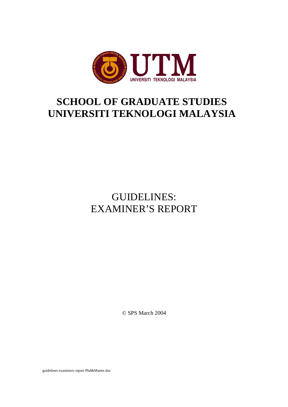

## **SCHOOL OF GRADUATE STUDIES UNIVERSITI TEKNOLOGI MALAYSIA**

## GUIDELINES: EXAMINER'S REPORT

© SPS March 2004

guidelines examiners report Phd&Master.doc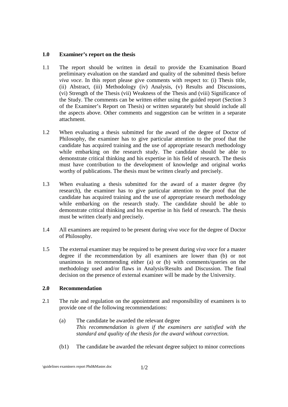## **1.0 Examiner's report on the thesis**

- 1.1 The report should be written in detail to provide the Examination Board preliminary evaluation on the standard and quality of the submitted thesis before *viva voce*. In this report please give comments with respect to: (i) Thesis title, (ii) Abstract, (iii) Methodology (iv) Analysis, (v) Results and Discussions, (vi) Strength of the Thesis (vii) Weakness of the Thesis and (viii) Significance of the Study. The comments can be written either using the guided report (Section 3 of the Examiner's Report on Thesis) or written separately but should include all the aspects above. Other comments and suggestion can be written in a separate attachment.
- 1.2 When evaluating a thesis submitted for the award of the degree of Doctor of Philosophy, the examiner has to give particular attention to the proof that the candidate has acquired training and the use of appropriate research methodology while embarking on the research study. The candidate should be able to demonstrate critical thinking and his expertise in his field of research. The thesis must have contribution to the development of knowledge and original works worthy of publications. The thesis must be written clearly and precisely.
- 1.3 When evaluating a thesis submitted for the award of a master degree (by research), the examiner has to give particular attention to the proof that the candidate has acquired training and the use of appropriate research methodology while embarking on the research study. The candidate should be able to demonstrate critical thinking and his expertise in his field of research. The thesis must be written clearly and precisely.
- 1.4 All examiners are required to be present during *viva voce* for the degree of Doctor of Philosophy.
- 1.5 The external examiner may be required to be present during *viva voce* for a master degree if the recommendation by all examiners are lower than (b) or not unanimous in recommending either (a) or (b) with comments/queries on the methodology used and/or flaws in Analysis/Results and Discussion. The final decision on the presence of external examiner will be made by the University.

## **2.0 Recommendation**

- 2.1 The rule and regulation on the appointment and responsibility of examiners is to provide one of the following recommendations:
	- (a) The candidate be awarded the relevant degree *This recommendation is given if the examiners are satisfied with the standard and quality of the thesis for the award without correction.*
	- (b1) The candidate be awarded the relevant degree subject to minor corrections